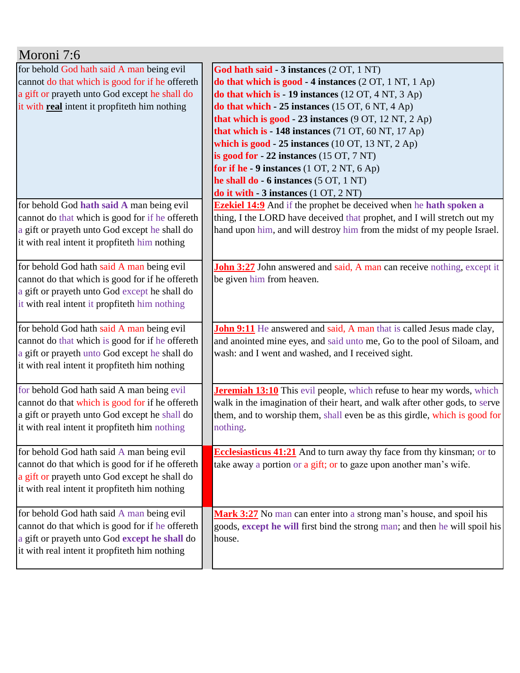| Moroni 7:6                                                                                     |                                                                                                                                                    |
|------------------------------------------------------------------------------------------------|----------------------------------------------------------------------------------------------------------------------------------------------------|
| for behold God hath said A man being evil                                                      | God hath said - 3 instances (2 OT, 1 NT)                                                                                                           |
| cannot do that which is good for if he offereth                                                | do that which is good - 4 instances $(2 OT, 1 NT, 1 Ap)$                                                                                           |
| a gift or prayeth unto God except he shall do                                                  | do that which is - 19 instances (12 OT, 4 NT, 3 Ap)                                                                                                |
| it with real intent it propfiteth him nothing                                                  | do that which $-25$ instances (15 OT, 6 NT, 4 Ap)                                                                                                  |
|                                                                                                | that which is good - 23 instances $(9 OT, 12 NT, 2 Ap)$                                                                                            |
|                                                                                                | that which is $-148$ instances (71 OT, 60 NT, 17 Ap)                                                                                               |
|                                                                                                | which is $good - 25$ instances $(10 OT, 13 NT, 2 Ap)$                                                                                              |
|                                                                                                | is good for $-22$ instances (15 OT, 7 NT)                                                                                                          |
|                                                                                                | for if he - 9 instances $(1 OT, 2 NT, 6 Ap)$                                                                                                       |
|                                                                                                | he shall do - 6 instances (5 OT, 1 NT)                                                                                                             |
|                                                                                                | do it with $-3$ instances $(1 OT, 2 NT)$                                                                                                           |
| for behold God hath said A man being evil                                                      | <b>Ezekiel 14:9</b> And if the prophet be deceived when he hath spoken a                                                                           |
| cannot do that which is good for if he offereth                                                | thing, I the LORD have deceived that prophet, and I will stretch out my<br>hand upon him, and will destroy him from the midst of my people Israel. |
| a gift or prayeth unto God except he shall do<br>it with real intent it propfiteth him nothing |                                                                                                                                                    |
|                                                                                                |                                                                                                                                                    |
| for behold God hath said A man being evil                                                      | <b>John 3:27</b> John answered and said, A man can receive nothing, except it                                                                      |
| cannot do that which is good for if he offereth                                                | be given him from heaven.                                                                                                                          |
| a gift or prayeth unto God except he shall do                                                  |                                                                                                                                                    |
| it with real intent it propfiteth him nothing                                                  |                                                                                                                                                    |
|                                                                                                |                                                                                                                                                    |
| for behold God hath said A man being evil                                                      | John 9:11 He answered and said, A man that is called Jesus made clay,                                                                              |
| cannot do that which is good for if he offereth                                                | and anointed mine eyes, and said unto me, Go to the pool of Siloam, and                                                                            |
| a gift or prayeth unto God except he shall do                                                  | wash: and I went and washed, and I received sight.                                                                                                 |
| it with real intent it propfiteth him nothing                                                  |                                                                                                                                                    |
|                                                                                                |                                                                                                                                                    |
| for behold God hath said A man being evil                                                      | <b>Jeremiah 13:10</b> This evil people, which refuse to hear my words, which                                                                       |
| cannot do that which is good for if he offereth                                                | walk in the imagination of their heart, and walk after other gods, to serve                                                                        |
| a gift or prayeth unto God except he shall do                                                  | them, and to worship them, shall even be as this girdle, which is good for                                                                         |
| it with real intent it propfiteth him nothing                                                  | nothing.                                                                                                                                           |
|                                                                                                |                                                                                                                                                    |
| for behold God hath said A man being evil                                                      | <b>Ecclesiasticus 41:21</b> And to turn away thy face from thy kinsman; or to                                                                      |
| cannot do that which is good for if he offereth                                                | take away a portion or a gift; or to gaze upon another man's wife.                                                                                 |
| a gift or prayeth unto God except he shall do                                                  |                                                                                                                                                    |
| it with real intent it propfiteth him nothing                                                  |                                                                                                                                                    |
|                                                                                                |                                                                                                                                                    |
| for behold God hath said A man being evil                                                      | Mark 3:27 No man can enter into a strong man's house, and spoil his                                                                                |
| cannot do that which is good for if he offereth                                                | goods, except he will first bind the strong man; and then he will spoil his                                                                        |
| a gift or prayeth unto God except he shall do                                                  | house.                                                                                                                                             |
| it with real intent it propfiteth him nothing                                                  |                                                                                                                                                    |
|                                                                                                |                                                                                                                                                    |